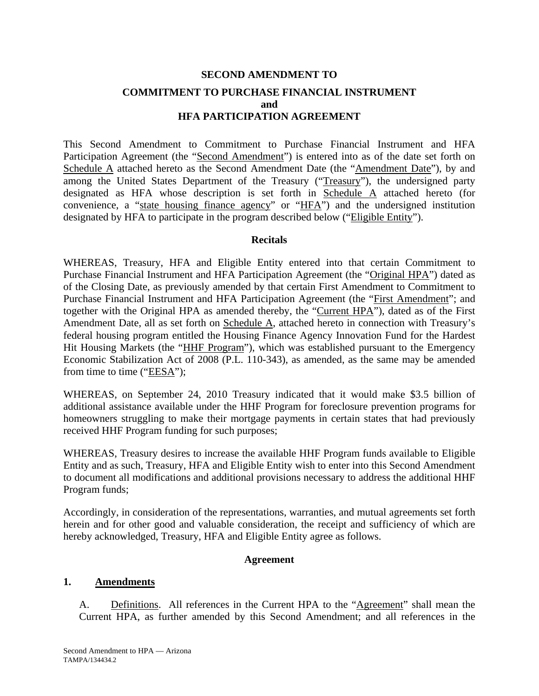# **SECOND AMENDMENT TO COMMITMENT TO PURCHASE FINANCIAL INSTRUMENT and HFA PARTICIPATION AGREEMENT**

This Second Amendment to Commitment to Purchase Financial Instrument and HFA Participation Agreement (the "Second Amendment") is entered into as of the date set forth on Schedule A attached hereto as the Second Amendment Date (the "Amendment Date"), by and among the United States Department of the Treasury ("Treasury"), the undersigned party designated as HFA whose description is set forth in Schedule A attached hereto (for convenience, a "state housing finance agency" or "HFA") and the undersigned institution designated by HFA to participate in the program described below ("Eligible Entity").

#### **Recitals**

WHEREAS, Treasury, HFA and Eligible Entity entered into that certain Commitment to Purchase Financial Instrument and HFA Participation Agreement (the "Original HPA") dated as of the Closing Date, as previously amended by that certain First Amendment to Commitment to Purchase Financial Instrument and HFA Participation Agreement (the "First Amendment"; and together with the Original HPA as amended thereby, the "Current HPA"), dated as of the First Amendment Date, all as set forth on Schedule A, attached hereto in connection with Treasury's federal housing program entitled the Housing Finance Agency Innovation Fund for the Hardest Hit Housing Markets (the "HHF Program"), which was established pursuant to the Emergency Economic Stabilization Act of 2008 (P.L. 110-343), as amended, as the same may be amended from time to time ("EESA");

WHEREAS, on September 24, 2010 Treasury indicated that it would make \$3.5 billion of additional assistance available under the HHF Program for foreclosure prevention programs for homeowners struggling to make their mortgage payments in certain states that had previously received HHF Program funding for such purposes;

WHEREAS, Treasury desires to increase the available HHF Program funds available to Eligible Entity and as such, Treasury, HFA and Eligible Entity wish to enter into this Second Amendment to document all modifications and additional provisions necessary to address the additional HHF Program funds;

Accordingly, in consideration of the representations, warranties, and mutual agreements set forth herein and for other good and valuable consideration, the receipt and sufficiency of which are hereby acknowledged, Treasury, HFA and Eligible Entity agree as follows.

#### **Agreement**

#### **1. Amendments**

A. Definitions. All references in the Current HPA to the "Agreement" shall mean the Current HPA, as further amended by this Second Amendment; and all references in the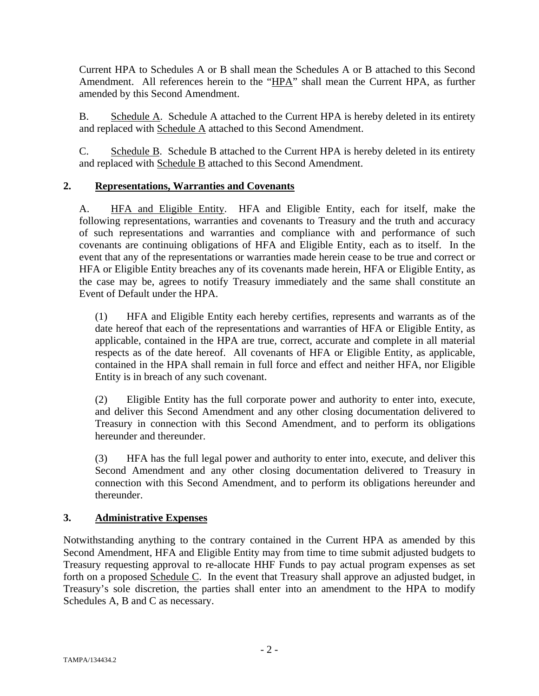Current HPA to Schedules A or B shall mean the Schedules A or B attached to this Second Amendment. All references herein to the "HPA" shall mean the Current HPA, as further amended by this Second Amendment.

B. Schedule A. Schedule A attached to the Current HPA is hereby deleted in its entirety and replaced with Schedule A attached to this Second Amendment.

C. Schedule B. Schedule B attached to the Current HPA is hereby deleted in its entirety and replaced with Schedule B attached to this Second Amendment.

# **2. Representations, Warranties and Covenants**

A. HFA and Eligible Entity. HFA and Eligible Entity, each for itself, make the following representations, warranties and covenants to Treasury and the truth and accuracy of such representations and warranties and compliance with and performance of such covenants are continuing obligations of HFA and Eligible Entity, each as to itself. In the event that any of the representations or warranties made herein cease to be true and correct or HFA or Eligible Entity breaches any of its covenants made herein, HFA or Eligible Entity, as the case may be, agrees to notify Treasury immediately and the same shall constitute an Event of Default under the HPA.

(1) HFA and Eligible Entity each hereby certifies, represents and warrants as of the date hereof that each of the representations and warranties of HFA or Eligible Entity, as applicable, contained in the HPA are true, correct, accurate and complete in all material respects as of the date hereof. All covenants of HFA or Eligible Entity, as applicable, contained in the HPA shall remain in full force and effect and neither HFA, nor Eligible Entity is in breach of any such covenant.

(2) Eligible Entity has the full corporate power and authority to enter into, execute, and deliver this Second Amendment and any other closing documentation delivered to Treasury in connection with this Second Amendment, and to perform its obligations hereunder and thereunder.

(3) HFA has the full legal power and authority to enter into, execute, and deliver this Second Amendment and any other closing documentation delivered to Treasury in connection with this Second Amendment, and to perform its obligations hereunder and thereunder.

## **3. Administrative Expenses**

Notwithstanding anything to the contrary contained in the Current HPA as amended by this Second Amendment, HFA and Eligible Entity may from time to time submit adjusted budgets to Treasury requesting approval to re-allocate HHF Funds to pay actual program expenses as set forth on a proposed Schedule C. In the event that Treasury shall approve an adjusted budget, in Treasury's sole discretion, the parties shall enter into an amendment to the HPA to modify Schedules A, B and C as necessary.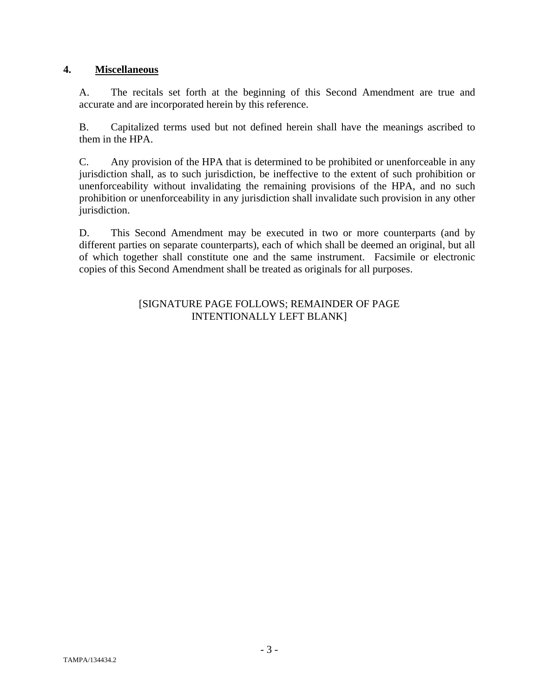## **4. Miscellaneous**

A. The recitals set forth at the beginning of this Second Amendment are true and accurate and are incorporated herein by this reference.

B. Capitalized terms used but not defined herein shall have the meanings ascribed to them in the HPA.

C. Any provision of the HPA that is determined to be prohibited or unenforceable in any jurisdiction shall, as to such jurisdiction, be ineffective to the extent of such prohibition or unenforceability without invalidating the remaining provisions of the HPA, and no such prohibition or unenforceability in any jurisdiction shall invalidate such provision in any other jurisdiction.

D. This Second Amendment may be executed in two or more counterparts (and by different parties on separate counterparts), each of which shall be deemed an original, but all of which together shall constitute one and the same instrument. Facsimile or electronic copies of this Second Amendment shall be treated as originals for all purposes.

### [SIGNATURE PAGE FOLLOWS; REMAINDER OF PAGE INTENTIONALLY LEFT BLANK]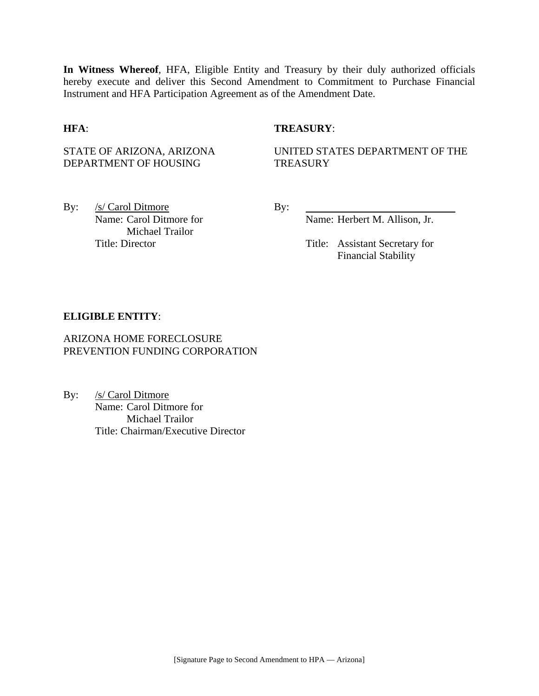**In Witness Whereof**, HFA, Eligible Entity and Treasury by their duly authorized officials hereby execute and deliver this Second Amendment to Commitment to Purchase Financial Instrument and HFA Participation Agreement as of the Amendment Date.

#### **HFA**: **TREASURY**:

STATE OF ARIZONA, ARIZONA DEPARTMENT OF HOUSING

UNITED STATES DEPARTMENT OF THE **TREASURY** 

By: <u>/s/ Carol Ditmore</u> By: Name: Carol Ditmore for Michael Trailor

Name: Herbert M. Allison, Jr.

Title: Director Title: Assistant Secretary for Financial Stability

#### **ELIGIBLE ENTITY**:

### ARIZONA HOME FORECLOSURE PREVENTION FUNDING CORPORATION

By: /s/ Carol Ditmore Name: Carol Ditmore for Michael Trailor Title: Chairman/Executive Director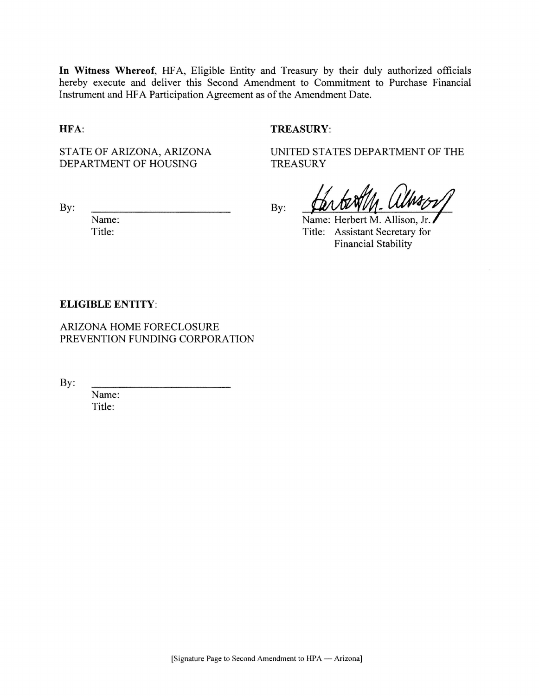In Witness Whereof, HFA, Eligible Entity and Treasury by their duly authorized officials hereby execute and deliver this Second Amendment to Commitment to Purchase Financial Instrument and HFA Participation Agreement as of the Amendment Date.

HFA:

#### **TREASURY:**

**TREASURY** 

STATE OF ARIZONA, ARIZONA DEPARTMENT OF HOUSING

By:

Name: Title:

By:

Name: Herbert M. Allison, Jr. Title: Assistant Secretary for **Financial Stability** 

UNITED STATES DEPARTMENT OF THE

#### **ELIGIBLE ENTITY:**

ARIZONA HOME FORECLOSURE PREVENTION FUNDING CORPORATION

By:

Name: Title: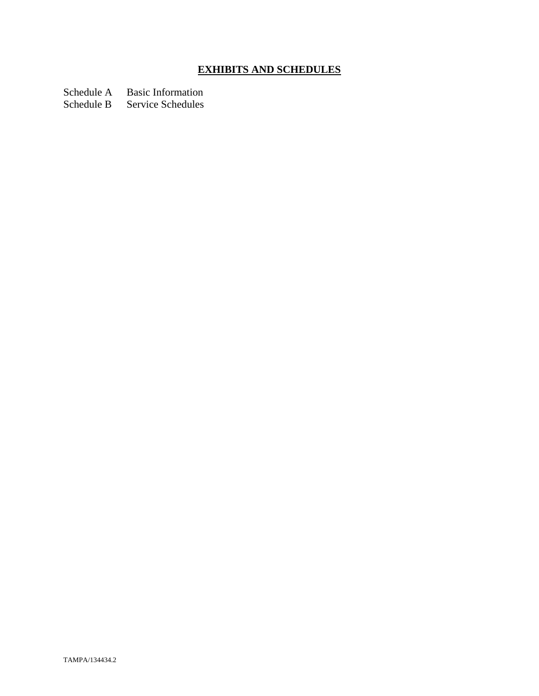# **EXHIBITS AND SCHEDULES**

Schedule A Basic Information<br>Schedule B Service Schedules

Service Schedules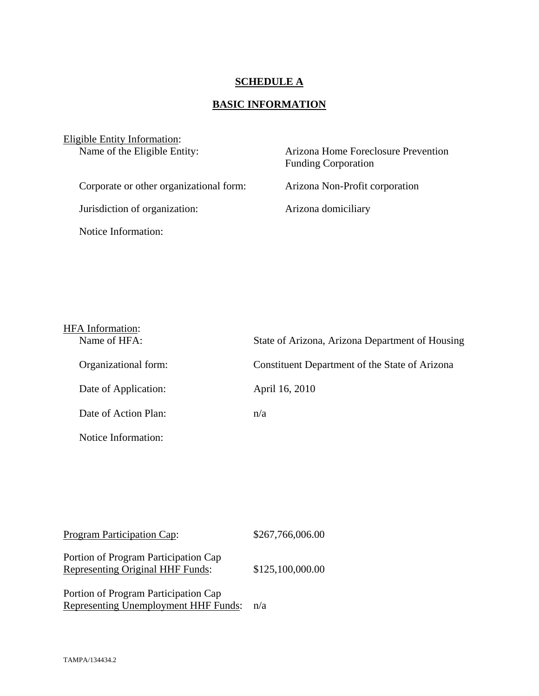## **SCHEDULE A**

# **BASIC INFORMATION**

| Eligible Entity Information:<br>Name of the Eligible Entity: | Arizona Home Foreclosure Prevention<br><b>Funding Corporation</b> |  |
|--------------------------------------------------------------|-------------------------------------------------------------------|--|
| Corporate or other organizational form:                      | Arizona Non-Profit corporation                                    |  |
| Jurisdiction of organization:                                | Arizona domiciliary                                               |  |
| Notice Information:                                          |                                                                   |  |

| <b>HFA</b> Information: |                                                 |
|-------------------------|-------------------------------------------------|
| Name of HFA:            | State of Arizona, Arizona Department of Housing |
| Organizational form:    | Constituent Department of the State of Arizona  |
| Date of Application:    | April 16, 2010                                  |
| Date of Action Plan:    | n/a                                             |
| Notice Information:     |                                                 |

Program Participation Cap:  $$267,766,006.00$ 

Portion of Program Participation Cap Representing Original HHF Funds: \$125,100,000.00

Portion of Program Participation Cap Representing Unemployment HHF Funds: n/a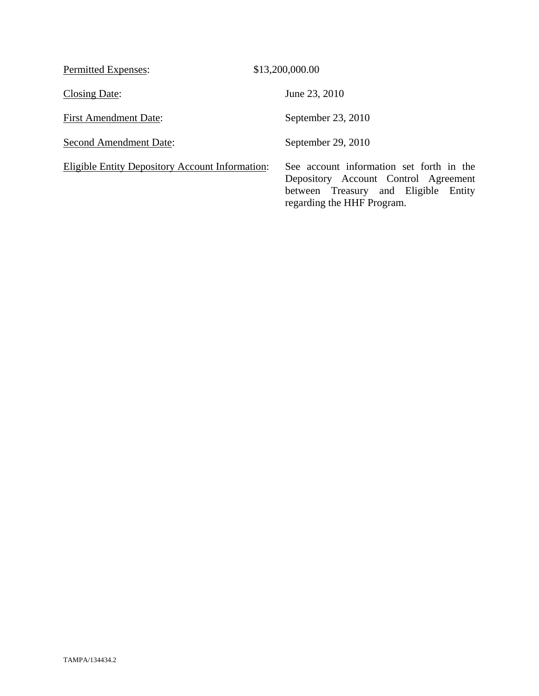| Permitted Expenses:                                    | \$13,200,000.00                                                                                                                                           |
|--------------------------------------------------------|-----------------------------------------------------------------------------------------------------------------------------------------------------------|
| Closing Date:                                          | June 23, 2010                                                                                                                                             |
| <b>First Amendment Date:</b>                           | September 23, 2010                                                                                                                                        |
| <b>Second Amendment Date:</b>                          | September 29, 2010                                                                                                                                        |
| <b>Eligible Entity Depository Account Information:</b> | See account information set forth in the<br>Depository Account Control Agreement<br>between Treasury and Eligible<br>Entity<br>regarding the HHF Program. |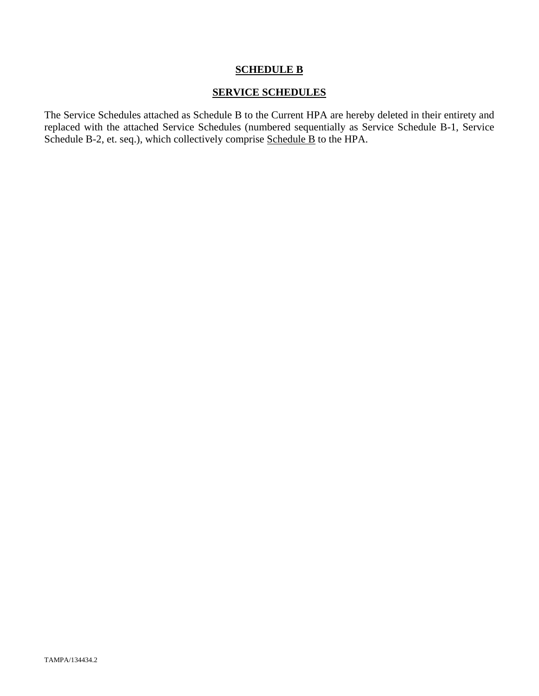## **SCHEDULE B**

## **SERVICE SCHEDULES**

The Service Schedules attached as Schedule B to the Current HPA are hereby deleted in their entirety and replaced with the attached Service Schedules (numbered sequentially as Service Schedule B-1, Service Schedule B-2, et. seq.), which collectively comprise Schedule B to the HPA.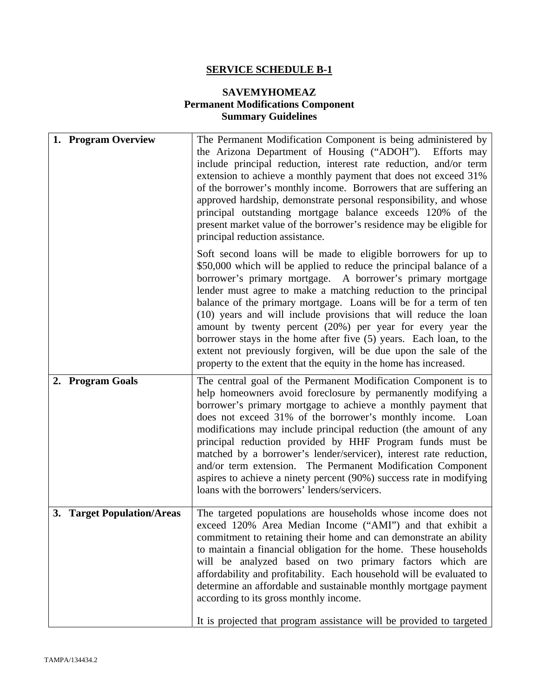# **SERVICE SCHEDULE B-1**

# **SAVEMYHOMEAZ Permanent Modifications Component Summary Guidelines**

| 1. Program Overview        | The Permanent Modification Component is being administered by<br>the Arizona Department of Housing ("ADOH"). Efforts may<br>include principal reduction, interest rate reduction, and/or term<br>extension to achieve a monthly payment that does not exceed 31%<br>of the borrower's monthly income. Borrowers that are suffering an<br>approved hardship, demonstrate personal responsibility, and whose<br>principal outstanding mortgage balance exceeds 120% of the<br>present market value of the borrower's residence may be eligible for<br>principal reduction assistance.                                                                                                         |
|----------------------------|---------------------------------------------------------------------------------------------------------------------------------------------------------------------------------------------------------------------------------------------------------------------------------------------------------------------------------------------------------------------------------------------------------------------------------------------------------------------------------------------------------------------------------------------------------------------------------------------------------------------------------------------------------------------------------------------|
|                            | Soft second loans will be made to eligible borrowers for up to<br>\$50,000 which will be applied to reduce the principal balance of a<br>borrower's primary mortgage. A borrower's primary mortgage<br>lender must agree to make a matching reduction to the principal<br>balance of the primary mortgage. Loans will be for a term of ten<br>(10) years and will include provisions that will reduce the loan<br>amount by twenty percent (20%) per year for every year the<br>borrower stays in the home after five (5) years. Each loan, to the<br>extent not previously forgiven, will be due upon the sale of the<br>property to the extent that the equity in the home has increased. |
| 2. Program Goals           | The central goal of the Permanent Modification Component is to<br>help homeowners avoid foreclosure by permanently modifying a<br>borrower's primary mortgage to achieve a monthly payment that<br>does not exceed 31% of the borrower's monthly income. Loan<br>modifications may include principal reduction (the amount of any<br>principal reduction provided by HHF Program funds must be<br>matched by a borrower's lender/servicer), interest rate reduction,<br>and/or term extension. The Permanent Modification Component<br>aspires to achieve a ninety percent (90%) success rate in modifying<br>loans with the borrowers' lenders/servicers.                                  |
| 3. Target Population/Areas | The targeted populations are households whose income does not<br>exceed 120% Area Median Income ("AMI") and that exhibit a<br>commitment to retaining their home and can demonstrate an ability<br>to maintain a financial obligation for the home. These households<br>will be analyzed based on two primary factors which are<br>affordability and profitability. Each household will be evaluated to<br>determine an affordable and sustainable monthly mortgage payment<br>according to its gross monthly income.<br>It is projected that program assistance will be provided to targeted                                                                                               |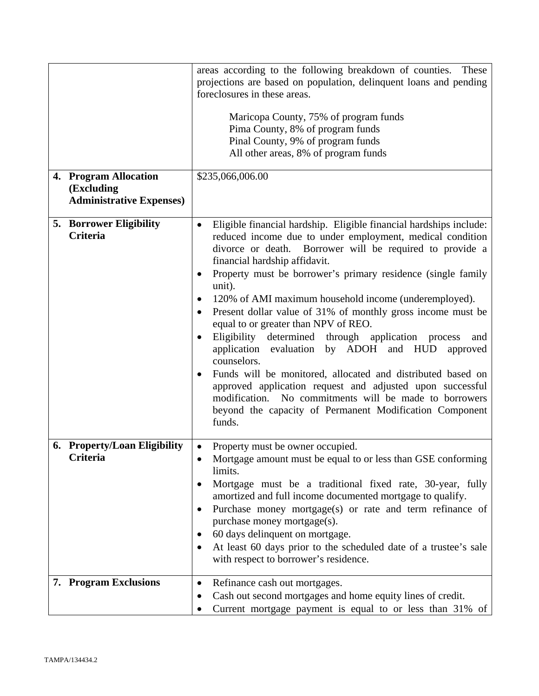| (Excluding | 4. Program Allocation           | areas according to the following breakdown of counties. These<br>projections are based on population, delinquent loans and pending<br>foreclosures in these areas.<br>Maricopa County, 75% of program funds<br>Pima County, 8% of program funds<br>Pinal County, 9% of program funds<br>All other areas, 8% of program funds<br>\$235,066,006.00                                                                                                                                                                                                                                                                                                                                                                                                                                                                                                                                                          |
|------------|---------------------------------|-----------------------------------------------------------------------------------------------------------------------------------------------------------------------------------------------------------------------------------------------------------------------------------------------------------------------------------------------------------------------------------------------------------------------------------------------------------------------------------------------------------------------------------------------------------------------------------------------------------------------------------------------------------------------------------------------------------------------------------------------------------------------------------------------------------------------------------------------------------------------------------------------------------|
|            | <b>Administrative Expenses)</b> |                                                                                                                                                                                                                                                                                                                                                                                                                                                                                                                                                                                                                                                                                                                                                                                                                                                                                                           |
| Criteria   | <b>5. Borrower Eligibility</b>  | Eligible financial hardship. Eligible financial hardships include:<br>$\bullet$<br>reduced income due to under employment, medical condition<br>Borrower will be required to provide a<br>divorce or death.<br>financial hardship affidavit.<br>Property must be borrower's primary residence (single family<br>unit).<br>120% of AMI maximum household income (underemployed).<br>$\bullet$<br>Present dollar value of 31% of monthly gross income must be<br>equal to or greater than NPV of REO.<br>Eligibility determined<br>through application process<br>and<br>by ADOH and HUD<br>application<br>evaluation<br>approved<br>counselors.<br>Funds will be monitored, allocated and distributed based on<br>approved application request and adjusted upon successful<br>modification. No commitments will be made to borrowers<br>beyond the capacity of Permanent Modification Component<br>funds. |
| Criteria   | 6. Property/Loan Eligibility    | Property must be owner occupied.<br>$\bullet$<br>Mortgage amount must be equal to or less than GSE conforming<br>limits.<br>Mortgage must be a traditional fixed rate, 30-year, fully<br>amortized and full income documented mortgage to qualify.<br>Purchase money mortgage(s) or rate and term refinance of<br>$\bullet$<br>purchase money mortgage(s).<br>60 days delinquent on mortgage.<br>٠<br>At least 60 days prior to the scheduled date of a trustee's sale<br>with respect to borrower's residence.                                                                                                                                                                                                                                                                                                                                                                                           |
|            | 7. Program Exclusions           | Refinance cash out mortgages.<br>$\bullet$<br>Cash out second mortgages and home equity lines of credit.<br>Current mortgage payment is equal to or less than 31% of                                                                                                                                                                                                                                                                                                                                                                                                                                                                                                                                                                                                                                                                                                                                      |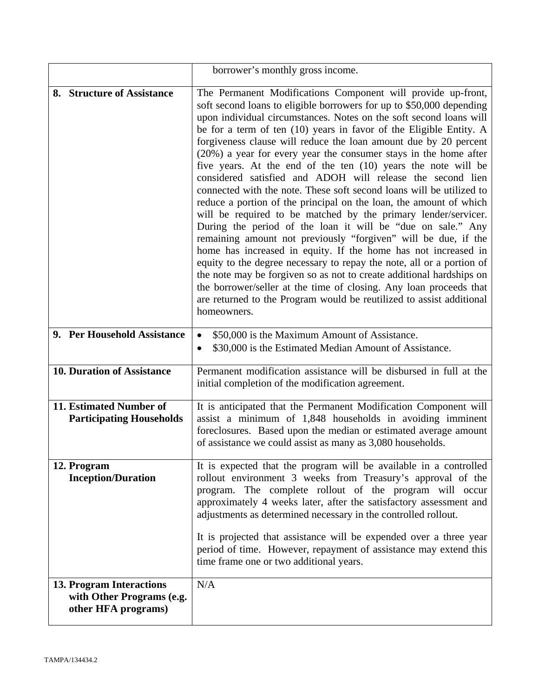|                                                                              | borrower's monthly gross income.                                                                                                                                                                                                                                                                                                                                                                                                                                                                                                                                                                                                                                                                                                                                                                                                                                                                                                                                                                                                                                                                                                                                                                                                                                                         |
|------------------------------------------------------------------------------|------------------------------------------------------------------------------------------------------------------------------------------------------------------------------------------------------------------------------------------------------------------------------------------------------------------------------------------------------------------------------------------------------------------------------------------------------------------------------------------------------------------------------------------------------------------------------------------------------------------------------------------------------------------------------------------------------------------------------------------------------------------------------------------------------------------------------------------------------------------------------------------------------------------------------------------------------------------------------------------------------------------------------------------------------------------------------------------------------------------------------------------------------------------------------------------------------------------------------------------------------------------------------------------|
| 8. Structure of Assistance                                                   | The Permanent Modifications Component will provide up-front,<br>soft second loans to eligible borrowers for up to \$50,000 depending<br>upon individual circumstances. Notes on the soft second loans will<br>be for a term of ten (10) years in favor of the Eligible Entity. A<br>forgiveness clause will reduce the loan amount due by 20 percent<br>(20%) a year for every year the consumer stays in the home after<br>five years. At the end of the ten (10) years the note will be<br>considered satisfied and ADOH will release the second lien<br>connected with the note. These soft second loans will be utilized to<br>reduce a portion of the principal on the loan, the amount of which<br>will be required to be matched by the primary lender/servicer.<br>During the period of the loan it will be "due on sale." Any<br>remaining amount not previously "forgiven" will be due, if the<br>home has increased in equity. If the home has not increased in<br>equity to the degree necessary to repay the note, all or a portion of<br>the note may be forgiven so as not to create additional hardships on<br>the borrower/seller at the time of closing. Any loan proceeds that<br>are returned to the Program would be reutilized to assist additional<br>homeowners. |
| 9. Per Household Assistance                                                  | \$50,000 is the Maximum Amount of Assistance.<br>$\bullet$<br>\$30,000 is the Estimated Median Amount of Assistance.<br>$\bullet$                                                                                                                                                                                                                                                                                                                                                                                                                                                                                                                                                                                                                                                                                                                                                                                                                                                                                                                                                                                                                                                                                                                                                        |
| <b>10. Duration of Assistance</b>                                            | Permanent modification assistance will be disbursed in full at the<br>initial completion of the modification agreement.                                                                                                                                                                                                                                                                                                                                                                                                                                                                                                                                                                                                                                                                                                                                                                                                                                                                                                                                                                                                                                                                                                                                                                  |
| 11. Estimated Number of<br><b>Participating Households</b>                   | It is anticipated that the Permanent Modification Component will<br>assist a minimum of 1,848 households in avoiding imminent<br>foreclosures. Based upon the median or estimated average amount<br>of assistance we could assist as many as 3,080 households.                                                                                                                                                                                                                                                                                                                                                                                                                                                                                                                                                                                                                                                                                                                                                                                                                                                                                                                                                                                                                           |
| 12. Program<br><b>Inception/Duration</b>                                     | It is expected that the program will be available in a controlled<br>rollout environment 3 weeks from Treasury's approval of the<br>program. The complete rollout of the program will occur<br>approximately 4 weeks later, after the satisfactory assessment and<br>adjustments as determined necessary in the controlled rollout.<br>It is projected that assistance will be expended over a three year<br>period of time. However, repayment of assistance may extend this<br>time frame one or two additional years.                                                                                                                                                                                                                                                                                                                                                                                                                                                                                                                                                                                                                                                                                                                                                                 |
| 13. Program Interactions<br>with Other Programs (e.g.<br>other HFA programs) | N/A                                                                                                                                                                                                                                                                                                                                                                                                                                                                                                                                                                                                                                                                                                                                                                                                                                                                                                                                                                                                                                                                                                                                                                                                                                                                                      |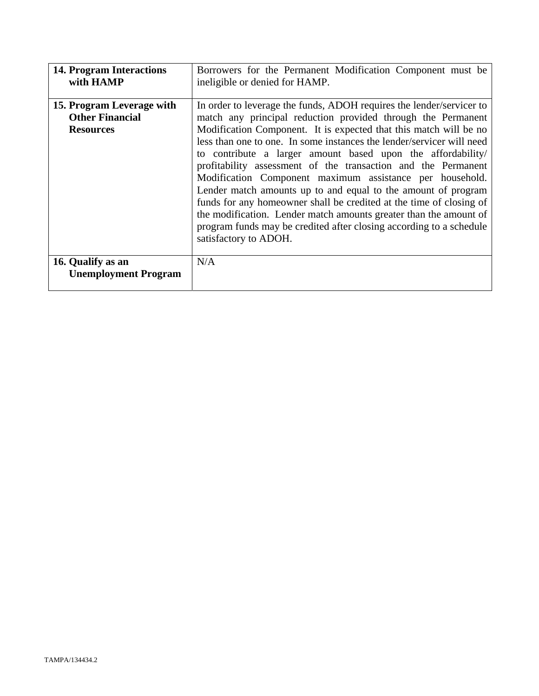| <b>14. Program Interactions</b><br>with HAMP                            | Borrowers for the Permanent Modification Component must be<br>ineligible or denied for HAMP.                                                                                                                                                                                                                                                                                                                                                                                                                                                                                                                                                                                                                                                                                                |
|-------------------------------------------------------------------------|---------------------------------------------------------------------------------------------------------------------------------------------------------------------------------------------------------------------------------------------------------------------------------------------------------------------------------------------------------------------------------------------------------------------------------------------------------------------------------------------------------------------------------------------------------------------------------------------------------------------------------------------------------------------------------------------------------------------------------------------------------------------------------------------|
| 15. Program Leverage with<br><b>Other Financial</b><br><b>Resources</b> | In order to leverage the funds, ADOH requires the lender/servicer to<br>match any principal reduction provided through the Permanent<br>Modification Component. It is expected that this match will be no<br>less than one to one. In some instances the lender/servicer will need<br>to contribute a larger amount based upon the affordability/<br>profitability assessment of the transaction and the Permanent<br>Modification Component maximum assistance per household.<br>Lender match amounts up to and equal to the amount of program<br>funds for any homeowner shall be credited at the time of closing of<br>the modification. Lender match amounts greater than the amount of<br>program funds may be credited after closing according to a schedule<br>satisfactory to ADOH. |
| 16. Qualify as an<br><b>Unemployment Program</b>                        | N/A                                                                                                                                                                                                                                                                                                                                                                                                                                                                                                                                                                                                                                                                                                                                                                                         |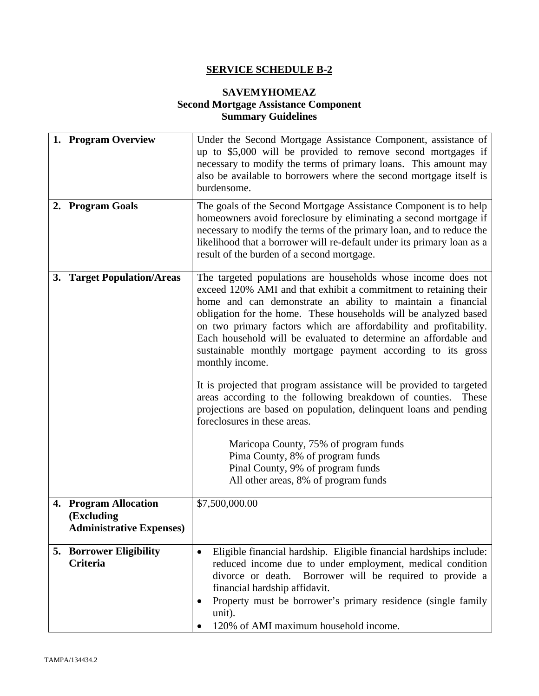# **SERVICE SCHEDULE B-2**

# **SAVEMYHOMEAZ Second Mortgage Assistance Component Summary Guidelines**

| 1. Program Overview                                                    | Under the Second Mortgage Assistance Component, assistance of<br>up to \$5,000 will be provided to remove second mortgages if<br>necessary to modify the terms of primary loans. This amount may<br>also be available to borrowers where the second mortgage itself is<br>burdensome.                                                                                                                                                                                                                                                                                                                                                                                                                                                                                                                                                                                                                     |
|------------------------------------------------------------------------|-----------------------------------------------------------------------------------------------------------------------------------------------------------------------------------------------------------------------------------------------------------------------------------------------------------------------------------------------------------------------------------------------------------------------------------------------------------------------------------------------------------------------------------------------------------------------------------------------------------------------------------------------------------------------------------------------------------------------------------------------------------------------------------------------------------------------------------------------------------------------------------------------------------|
| 2. Program Goals                                                       | The goals of the Second Mortgage Assistance Component is to help<br>homeowners avoid foreclosure by eliminating a second mortgage if<br>necessary to modify the terms of the primary loan, and to reduce the<br>likelihood that a borrower will re-default under its primary loan as a<br>result of the burden of a second mortgage.                                                                                                                                                                                                                                                                                                                                                                                                                                                                                                                                                                      |
| 3. Target Population/Areas                                             | The targeted populations are households whose income does not<br>exceed 120% AMI and that exhibit a commitment to retaining their<br>home and can demonstrate an ability to maintain a financial<br>obligation for the home. These households will be analyzed based<br>on two primary factors which are affordability and profitability.<br>Each household will be evaluated to determine an affordable and<br>sustainable monthly mortgage payment according to its gross<br>monthly income.<br>It is projected that program assistance will be provided to targeted<br>areas according to the following breakdown of counties.<br>These<br>projections are based on population, delinquent loans and pending<br>foreclosures in these areas.<br>Maricopa County, 75% of program funds<br>Pima County, 8% of program funds<br>Pinal County, 9% of program funds<br>All other areas, 8% of program funds |
| 4. Program Allocation<br>(Excluding<br><b>Administrative Expenses)</b> | \$7,500,000.00                                                                                                                                                                                                                                                                                                                                                                                                                                                                                                                                                                                                                                                                                                                                                                                                                                                                                            |
| <b>5. Borrower Eligibility</b><br>Criteria                             | Eligible financial hardship. Eligible financial hardships include:<br>$\bullet$<br>reduced income due to under employment, medical condition<br>Borrower will be required to provide a<br>divorce or death.<br>financial hardship affidavit.<br>Property must be borrower's primary residence (single family<br>unit).<br>120% of AMI maximum household income.                                                                                                                                                                                                                                                                                                                                                                                                                                                                                                                                           |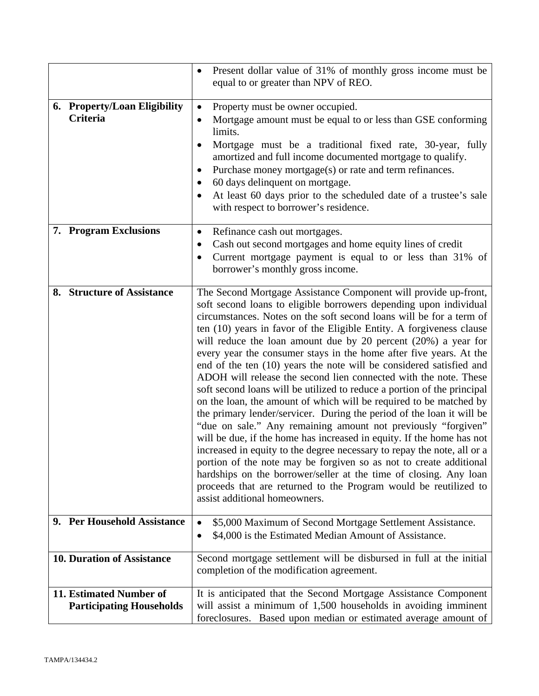|                                                            | Present dollar value of 31% of monthly gross income must be<br>equal to or greater than NPV of REO.                                                                                                                                                                                                                                                                                                                                                                                                                                                                                                                                                                                                                                                                                                                                                                                                                                                                                                                                                                                                                                                                                                                                                                     |
|------------------------------------------------------------|-------------------------------------------------------------------------------------------------------------------------------------------------------------------------------------------------------------------------------------------------------------------------------------------------------------------------------------------------------------------------------------------------------------------------------------------------------------------------------------------------------------------------------------------------------------------------------------------------------------------------------------------------------------------------------------------------------------------------------------------------------------------------------------------------------------------------------------------------------------------------------------------------------------------------------------------------------------------------------------------------------------------------------------------------------------------------------------------------------------------------------------------------------------------------------------------------------------------------------------------------------------------------|
| 6. Property/Loan Eligibility<br>Criteria                   | Property must be owner occupied.<br>$\bullet$<br>Mortgage amount must be equal to or less than GSE conforming<br>$\bullet$<br>limits.<br>Mortgage must be a traditional fixed rate, 30-year, fully<br>$\bullet$<br>amortized and full income documented mortgage to qualify.<br>Purchase money mortgage(s) or rate and term refinances.<br>٠<br>60 days delinquent on mortgage.<br>At least 60 days prior to the scheduled date of a trustee's sale<br>with respect to borrower's residence.                                                                                                                                                                                                                                                                                                                                                                                                                                                                                                                                                                                                                                                                                                                                                                            |
| 7. Program Exclusions                                      | Refinance cash out mortgages.<br>$\bullet$<br>Cash out second mortgages and home equity lines of credit<br>$\bullet$<br>Current mortgage payment is equal to or less than 31% of<br>borrower's monthly gross income.                                                                                                                                                                                                                                                                                                                                                                                                                                                                                                                                                                                                                                                                                                                                                                                                                                                                                                                                                                                                                                                    |
| 8. Structure of Assistance                                 | The Second Mortgage Assistance Component will provide up-front,<br>soft second loans to eligible borrowers depending upon individual<br>circumstances. Notes on the soft second loans will be for a term of<br>ten (10) years in favor of the Eligible Entity. A forgiveness clause<br>will reduce the loan amount due by 20 percent $(20%)$ a year for<br>every year the consumer stays in the home after five years. At the<br>end of the ten (10) years the note will be considered satisfied and<br>ADOH will release the second lien connected with the note. These<br>soft second loans will be utilized to reduce a portion of the principal<br>on the loan, the amount of which will be required to be matched by<br>the primary lender/servicer. During the period of the loan it will be<br>"due on sale." Any remaining amount not previously "forgiven"<br>will be due, if the home has increased in equity. If the home has not<br>increased in equity to the degree necessary to repay the note, all or a<br>portion of the note may be forgiven so as not to create additional<br>hardships on the borrower/seller at the time of closing. Any loan<br>proceeds that are returned to the Program would be reutilized to<br>assist additional homeowners. |
| 9. Per Household Assistance                                | \$5,000 Maximum of Second Mortgage Settlement Assistance.<br>$\bullet$<br>\$4,000 is the Estimated Median Amount of Assistance.<br>$\bullet$                                                                                                                                                                                                                                                                                                                                                                                                                                                                                                                                                                                                                                                                                                                                                                                                                                                                                                                                                                                                                                                                                                                            |
| <b>10. Duration of Assistance</b>                          | Second mortgage settlement will be disbursed in full at the initial<br>completion of the modification agreement.                                                                                                                                                                                                                                                                                                                                                                                                                                                                                                                                                                                                                                                                                                                                                                                                                                                                                                                                                                                                                                                                                                                                                        |
| 11. Estimated Number of<br><b>Participating Households</b> | It is anticipated that the Second Mortgage Assistance Component<br>will assist a minimum of 1,500 households in avoiding imminent<br>foreclosures. Based upon median or estimated average amount of                                                                                                                                                                                                                                                                                                                                                                                                                                                                                                                                                                                                                                                                                                                                                                                                                                                                                                                                                                                                                                                                     |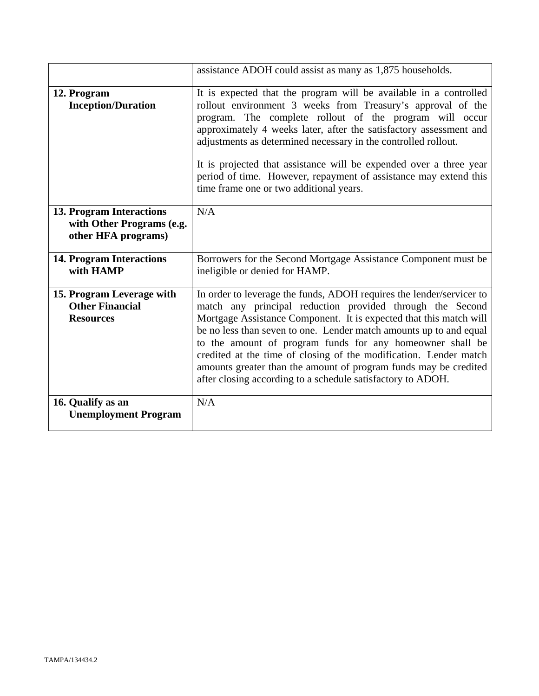|                                                                                     | assistance ADOH could assist as many as 1,875 households.                                                                                                                                                                                                                                                                                                                                                                                                                                                                                          |
|-------------------------------------------------------------------------------------|----------------------------------------------------------------------------------------------------------------------------------------------------------------------------------------------------------------------------------------------------------------------------------------------------------------------------------------------------------------------------------------------------------------------------------------------------------------------------------------------------------------------------------------------------|
| 12. Program<br><b>Inception/Duration</b>                                            | It is expected that the program will be available in a controlled<br>rollout environment 3 weeks from Treasury's approval of the<br>program. The complete rollout of the program will occur<br>approximately 4 weeks later, after the satisfactory assessment and<br>adjustments as determined necessary in the controlled rollout.<br>It is projected that assistance will be expended over a three year<br>period of time. However, repayment of assistance may extend this<br>time frame one or two additional years.                           |
| <b>13. Program Interactions</b><br>with Other Programs (e.g.<br>other HFA programs) | N/A                                                                                                                                                                                                                                                                                                                                                                                                                                                                                                                                                |
| <b>14. Program Interactions</b><br>with HAMP                                        | Borrowers for the Second Mortgage Assistance Component must be<br>ineligible or denied for HAMP.                                                                                                                                                                                                                                                                                                                                                                                                                                                   |
| 15. Program Leverage with<br><b>Other Financial</b><br><b>Resources</b>             | In order to leverage the funds, ADOH requires the lender/servicer to<br>match any principal reduction provided through the Second<br>Mortgage Assistance Component. It is expected that this match will<br>be no less than seven to one. Lender match amounts up to and equal<br>to the amount of program funds for any homeowner shall be<br>credited at the time of closing of the modification. Lender match<br>amounts greater than the amount of program funds may be credited<br>after closing according to a schedule satisfactory to ADOH. |
| 16. Qualify as an<br><b>Unemployment Program</b>                                    | N/A                                                                                                                                                                                                                                                                                                                                                                                                                                                                                                                                                |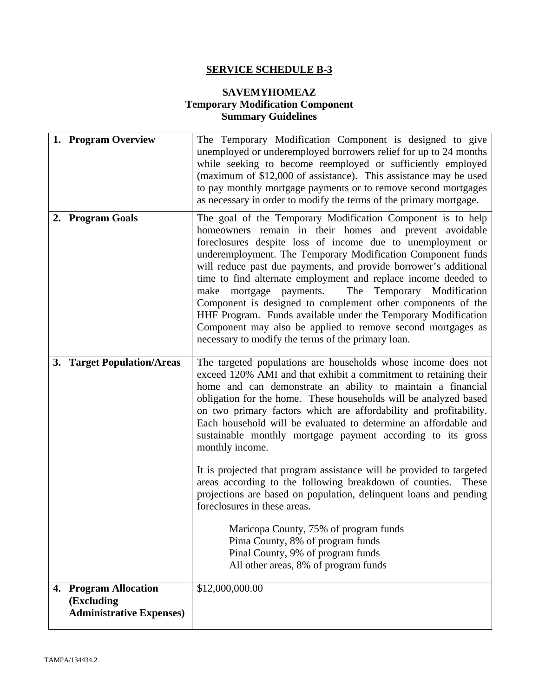# **SERVICE SCHEDULE B-3**

# **SAVEMYHOMEAZ Temporary Modification Component Summary Guidelines**

| 1. Program Overview                                                    | The Temporary Modification Component is designed to give<br>unemployed or underemployed borrowers relief for up to 24 months<br>while seeking to become reemployed or sufficiently employed<br>(maximum of \$12,000 of assistance). This assistance may be used<br>to pay monthly mortgage payments or to remove second mortgages<br>as necessary in order to modify the terms of the primary mortgage.                                                                                                                                                                                                                                                                                                      |
|------------------------------------------------------------------------|--------------------------------------------------------------------------------------------------------------------------------------------------------------------------------------------------------------------------------------------------------------------------------------------------------------------------------------------------------------------------------------------------------------------------------------------------------------------------------------------------------------------------------------------------------------------------------------------------------------------------------------------------------------------------------------------------------------|
| 2. Program Goals                                                       | The goal of the Temporary Modification Component is to help<br>homeowners remain in their homes and prevent avoidable<br>foreclosures despite loss of income due to unemployment or<br>underemployment. The Temporary Modification Component funds<br>will reduce past due payments, and provide borrower's additional<br>time to find alternate employment and replace income deeded to<br>mortgage payments.<br>The<br>Temporary Modification<br>make<br>Component is designed to complement other components of the<br>HHF Program. Funds available under the Temporary Modification<br>Component may also be applied to remove second mortgages as<br>necessary to modify the terms of the primary loan. |
| 3. Target Population/Areas                                             | The targeted populations are households whose income does not<br>exceed 120% AMI and that exhibit a commitment to retaining their<br>home and can demonstrate an ability to maintain a financial<br>obligation for the home. These households will be analyzed based<br>on two primary factors which are affordability and profitability.<br>Each household will be evaluated to determine an affordable and<br>sustainable monthly mortgage payment according to its gross<br>monthly income.                                                                                                                                                                                                               |
|                                                                        | It is projected that program assistance will be provided to targeted<br>areas according to the following breakdown of counties.<br>These<br>projections are based on population, delinquent loans and pending<br>foreclosures in these areas.                                                                                                                                                                                                                                                                                                                                                                                                                                                                |
|                                                                        | Maricopa County, 75% of program funds<br>Pima County, 8% of program funds<br>Pinal County, 9% of program funds<br>All other areas, 8% of program funds                                                                                                                                                                                                                                                                                                                                                                                                                                                                                                                                                       |
| 4. Program Allocation<br>(Excluding<br><b>Administrative Expenses)</b> | \$12,000,000.00                                                                                                                                                                                                                                                                                                                                                                                                                                                                                                                                                                                                                                                                                              |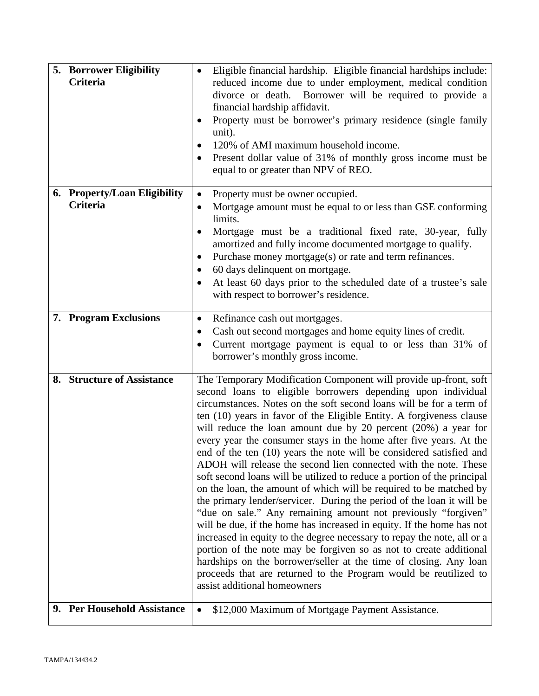| <b>5. Borrower Eligibility</b><br><b>Criteria</b> | Eligible financial hardship. Eligible financial hardships include:<br>reduced income due to under employment, medical condition<br>divorce or death. Borrower will be required to provide a<br>financial hardship affidavit.<br>Property must be borrower's primary residence (single family<br>٠<br>unit).<br>120% of AMI maximum household income.<br>$\bullet$<br>Present dollar value of 31% of monthly gross income must be<br>٠<br>equal to or greater than NPV of REO.                                                                                                                                                                                                                                                                                                                                                                                                                                                                                                                                                                                                                                                                                                                                                                                      |
|---------------------------------------------------|--------------------------------------------------------------------------------------------------------------------------------------------------------------------------------------------------------------------------------------------------------------------------------------------------------------------------------------------------------------------------------------------------------------------------------------------------------------------------------------------------------------------------------------------------------------------------------------------------------------------------------------------------------------------------------------------------------------------------------------------------------------------------------------------------------------------------------------------------------------------------------------------------------------------------------------------------------------------------------------------------------------------------------------------------------------------------------------------------------------------------------------------------------------------------------------------------------------------------------------------------------------------|
| 6. Property/Loan Eligibility<br><b>Criteria</b>   | Property must be owner occupied.<br>٠<br>Mortgage amount must be equal to or less than GSE conforming<br>٠<br>limits.<br>Mortgage must be a traditional fixed rate, 30-year, fully<br>٠<br>amortized and fully income documented mortgage to qualify.<br>Purchase money mortgage(s) or rate and term refinances.<br>٠<br>60 days delinquent on mortgage.<br>At least 60 days prior to the scheduled date of a trustee's sale<br>$\bullet$<br>with respect to borrower's residence.                                                                                                                                                                                                                                                                                                                                                                                                                                                                                                                                                                                                                                                                                                                                                                                 |
| 7. Program Exclusions                             | Refinance cash out mortgages.<br>$\bullet$<br>Cash out second mortgages and home equity lines of credit.<br>٠<br>Current mortgage payment is equal to or less than 31% of<br>٠<br>borrower's monthly gross income.                                                                                                                                                                                                                                                                                                                                                                                                                                                                                                                                                                                                                                                                                                                                                                                                                                                                                                                                                                                                                                                 |
| 8. Structure of Assistance                        | The Temporary Modification Component will provide up-front, soft<br>second loans to eligible borrowers depending upon individual<br>circumstances. Notes on the soft second loans will be for a term of<br>ten (10) years in favor of the Eligible Entity. A forgiveness clause<br>will reduce the loan amount due by 20 percent $(20%)$ a year for<br>every year the consumer stays in the home after five years. At the<br>end of the ten (10) years the note will be considered satisfied and<br>ADOH will release the second lien connected with the note. These<br>soft second loans will be utilized to reduce a portion of the principal<br>on the loan, the amount of which will be required to be matched by<br>the primary lender/servicer. During the period of the loan it will be<br>"due on sale." Any remaining amount not previously "forgiven"<br>will be due, if the home has increased in equity. If the home has not<br>increased in equity to the degree necessary to repay the note, all or a<br>portion of the note may be forgiven so as not to create additional<br>hardships on the borrower/seller at the time of closing. Any loan<br>proceeds that are returned to the Program would be reutilized to<br>assist additional homeowners |
| 9. Per Household Assistance                       | \$12,000 Maximum of Mortgage Payment Assistance.<br>$\bullet$                                                                                                                                                                                                                                                                                                                                                                                                                                                                                                                                                                                                                                                                                                                                                                                                                                                                                                                                                                                                                                                                                                                                                                                                      |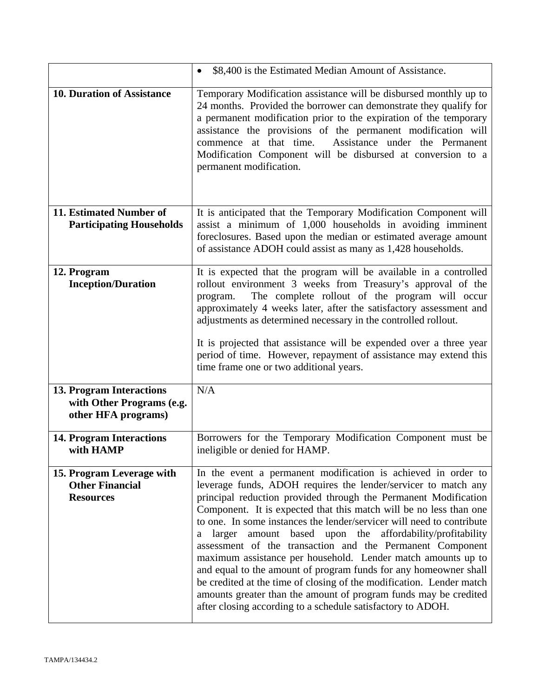|                                                                              | \$8,400 is the Estimated Median Amount of Assistance.<br>$\bullet$                                                                                                                                                                                                                                                                                                                                                                                                                                                                                                                                                                                                                                                                                                                                                                   |
|------------------------------------------------------------------------------|--------------------------------------------------------------------------------------------------------------------------------------------------------------------------------------------------------------------------------------------------------------------------------------------------------------------------------------------------------------------------------------------------------------------------------------------------------------------------------------------------------------------------------------------------------------------------------------------------------------------------------------------------------------------------------------------------------------------------------------------------------------------------------------------------------------------------------------|
| <b>10. Duration of Assistance</b>                                            | Temporary Modification assistance will be disbursed monthly up to<br>24 months. Provided the borrower can demonstrate they qualify for<br>a permanent modification prior to the expiration of the temporary<br>assistance the provisions of the permanent modification will<br>Assistance under the Permanent<br>commence at that time.<br>Modification Component will be disbursed at conversion to a<br>permanent modification.                                                                                                                                                                                                                                                                                                                                                                                                    |
| 11. Estimated Number of<br><b>Participating Households</b>                   | It is anticipated that the Temporary Modification Component will<br>assist a minimum of 1,000 households in avoiding imminent<br>foreclosures. Based upon the median or estimated average amount<br>of assistance ADOH could assist as many as 1,428 households.                                                                                                                                                                                                                                                                                                                                                                                                                                                                                                                                                                     |
| 12. Program<br><b>Inception/Duration</b>                                     | It is expected that the program will be available in a controlled<br>rollout environment 3 weeks from Treasury's approval of the<br>The complete rollout of the program will occur<br>program.<br>approximately 4 weeks later, after the satisfactory assessment and<br>adjustments as determined necessary in the controlled rollout.<br>It is projected that assistance will be expended over a three year<br>period of time. However, repayment of assistance may extend this<br>time frame one or two additional years.                                                                                                                                                                                                                                                                                                          |
| 13. Program Interactions<br>with Other Programs (e.g.<br>other HFA programs) | N/A                                                                                                                                                                                                                                                                                                                                                                                                                                                                                                                                                                                                                                                                                                                                                                                                                                  |
| <b>14. Program Interactions</b><br>with HAMP                                 | Borrowers for the Temporary Modification Component must be<br>ineligible or denied for HAMP.                                                                                                                                                                                                                                                                                                                                                                                                                                                                                                                                                                                                                                                                                                                                         |
| 15. Program Leverage with<br><b>Other Financial</b><br><b>Resources</b>      | In the event a permanent modification is achieved in order to<br>leverage funds, ADOH requires the lender/servicer to match any<br>principal reduction provided through the Permanent Modification<br>Component. It is expected that this match will be no less than one<br>to one. In some instances the lender/servicer will need to contribute<br>based upon the affordability/profitability<br>larger<br>amount<br>a<br>assessment of the transaction and the Permanent Component<br>maximum assistance per household. Lender match amounts up to<br>and equal to the amount of program funds for any homeowner shall<br>be credited at the time of closing of the modification. Lender match<br>amounts greater than the amount of program funds may be credited<br>after closing according to a schedule satisfactory to ADOH. |